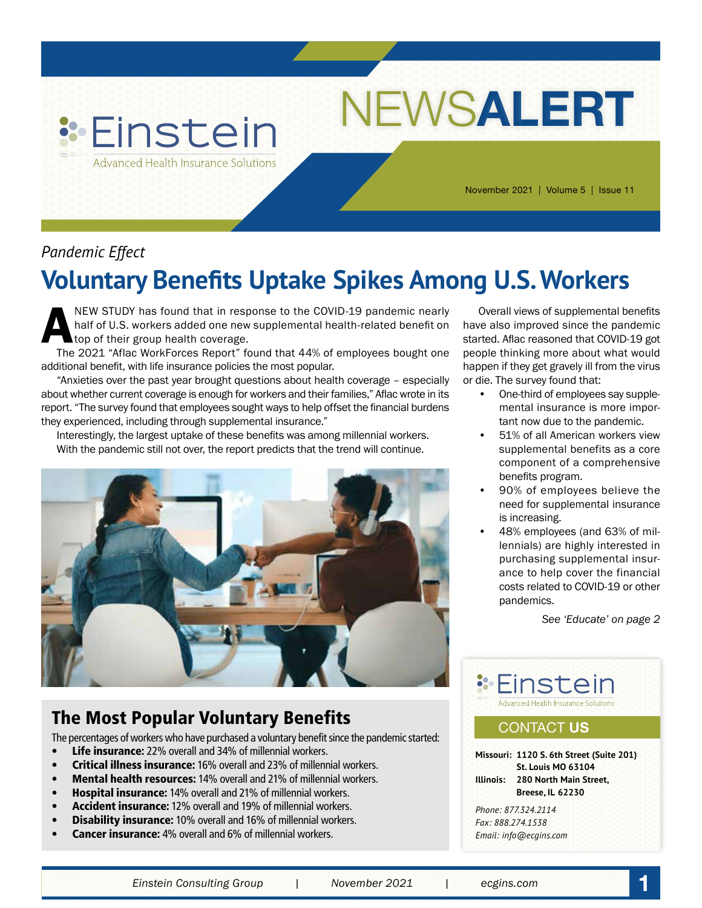

November 2021 | Volume 5 | Issue 11

NEWS**ALERT**

## *Pandemic Effect*

# **Voluntary Benefits Uptake Spikes Among U.S. Workers**

NEW STUDY has found that in response to the COVID-19 pandemic nearly<br>half of U.S. workers added one new supplemental health-related benefit on<br>top of their group health coverage.<br>The 2021 "Aflac WorkForces Report" found th half of U.S. workers added one new supplemental health-related benefit on top of their group health coverage.

The 2021 "Aflac WorkForces Report" found that 44% of employees bought one additional benefit, with life insurance policies the most popular.

"Anxieties over the past year brought questions about health coverage – especially about whether current coverage is enough for workers and their families," Aflac wrote in its report. "The survey found that employees sought ways to help offset the financial burdens they experienced, including through supplemental insurance."

Interestingly, the largest uptake of these benefits was among millennial workers. With the pandemic still not over, the report predicts that the trend will continue.



## The Most Popular Voluntary Benefits

The percentages of workers who have purchased a voluntary benefit since the pandemic started:

- Life insurance: 22% overall and 34% of millennial workers.
- Critical illness insurance: 16% overall and 23% of millennial workers.
- Mental health resources: 14% overall and 21% of millennial workers.
- Hospital insurance: 14% overall and 21% of millennial workers.
- Accident insurance: 12% overall and 19% of millennial workers.
- Disability insurance: 10% overall and 16% of millennial workers.
- **Cancer insurance:** 4% overall and 6% of millennial workers.

Overall views of supplemental benefits have also improved since the pandemic started. Aflac reasoned that COVID-19 got people thinking more about what would happen if they get gravely ill from the virus or die. The survey found that:

- One-third of employees say supplemental insurance is more important now due to the pandemic.
- 51% of all American workers view supplemental benefits as a core component of a comprehensive benefits program.
- 90% of employees believe the need for supplemental insurance is increasing.
- 48% employees (and 63% of millennials) are highly interested in purchasing supplemental insurance to help cover the financial costs related to COVID-19 or other pandemics.

*See 'Educate' on page 2*



## CONTACT **US**

**Missouri: 1120 S. 6th Street (Suite 201) St. Louis MO 63104 Illinois: 280 North Main Street, Breese, IL 62230**

*Phone: 877.324.2114 Fax: 888.274.1538 Email: info@ecgins.com*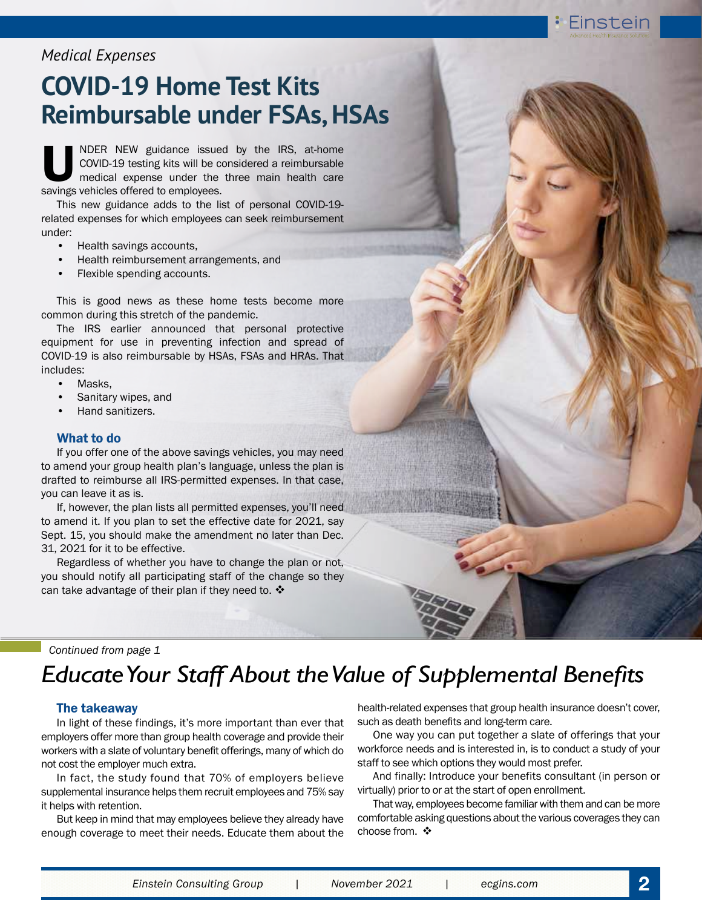## *Medical Expenses*

# **COVID-19 Home Test Kits Reimbursable under FSAs, HSAs**

NDER NEW guidance issued by the IRS, at-home COVID-19 testing kits will be considered a reimbursable medical expense under the three main health care savings vehicles offered to employees.

This new guidance adds to the list of personal COVID-19 related expenses for which employees can seek reimbursement under:

- Health savings accounts,
- Health reimbursement arrangements, and
- Flexible spending accounts.

This is good news as these home tests become more common during this stretch of the pandemic.

The IRS earlier announced that personal protective equipment for use in preventing infection and spread of COVID-19 is also reimbursable by HSAs, FSAs and HRAs. That includes:

- Masks,
- Sanitary wipes, and
- Hand sanitizers.

#### What to do

If you offer one of the above savings vehicles, you may need to amend your group health plan's language, unless the plan is drafted to reimburse all IRS-permitted expenses. In that case, you can leave it as is.

If, however, the plan lists all permitted expenses, you'll need to amend it. If you plan to set the effective date for 2021, say Sept. 15, you should make the amendment no later than Dec. 31, 2021 for it to be effective.

Regardless of whether you have to change the plan or not, you should notify all participating staff of the change so they can take advantage of their plan if they need to.  $\clubsuit$ 

*Continued from page 1*

## *Educate Your Staff About the Value of Supplemental Benefits*

#### The takeaway

In light of these findings, it's more important than ever that employers offer more than group health coverage and provide their workers with a slate of voluntary benefit offerings, many of which do not cost the employer much extra.

In fact, the study found that 70% of employers believe supplemental insurance helps them recruit employees and 75% say it helps with retention.

But keep in mind that may employees believe they already have enough coverage to meet their needs. Educate them about the

health-related expenses that group health insurance doesn't cover, such as death benefits and long-term care.

One way you can put together a slate of offerings that your workforce needs and is interested in, is to conduct a study of your staff to see which options they would most prefer.

And finally: Introduce your benefits consultant (in person or virtually) prior to or at the start of open enrollment.

That way, employees become familiar with them and can be more comfortable asking questions about the various coverages they can choose from.  $\mathbf{\hat{*}}$ 

Einstein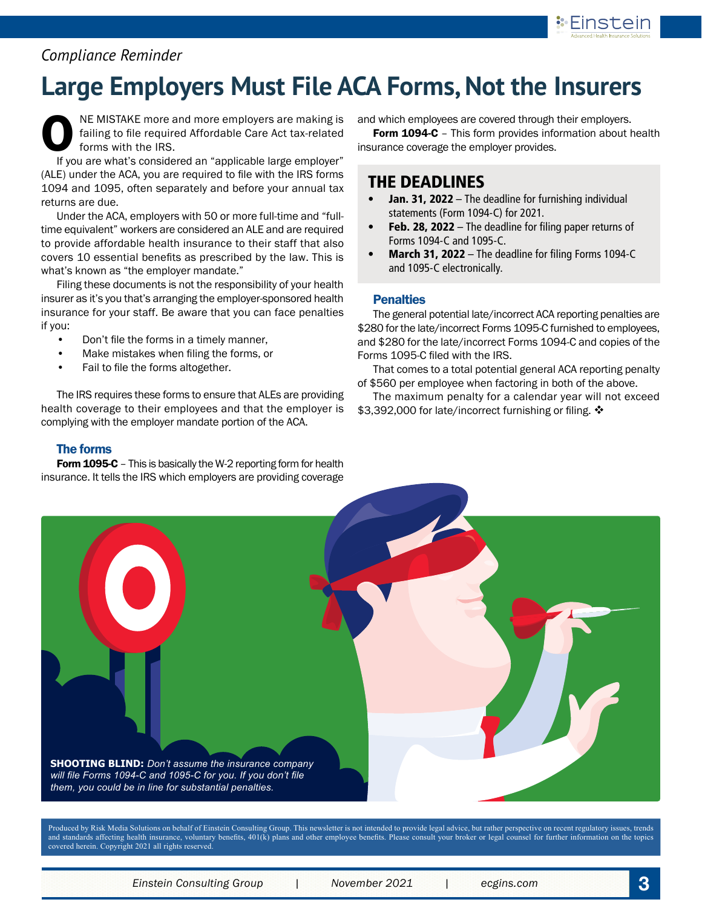

## *Compliance Reminder*

# **Large Employers Must File ACA Forms, Not the Insurers**

NE MISTAKE more and more employers are making is failing to file required Affordable Care Act tax-related forms with the IRS.

If you are what's considered an "applicable large employer" (ALE) under the ACA, you are required to file with the IRS forms 1094 and 1095, often separately and before your annual tax returns are due.

Under the ACA, employers with 50 or more full-time and "fulltime equivalent" workers are considered an ALE and are required to provide affordable health insurance to their staff that also covers 10 essential benefits as prescribed by the law. This is what's known as "the employer mandate."

Filing these documents is not the responsibility of your health insurer as it's you that's arranging the employer-sponsored health insurance for your staff. Be aware that you can face penalties if you:

- Don't file the forms in a timely manner,
- Make mistakes when filing the forms, or
- Fail to file the forms altogether.

The IRS requires these forms to ensure that ALEs are providing health coverage to their employees and that the employer is complying with the employer mandate portion of the ACA.

#### The forms

Form 1095-C - This is basically the W-2 reporting form for health insurance. It tells the IRS which employers are providing coverage and which employees are covered through their employers.

Form 1094-C - This form provides information about health insurance coverage the employer provides.

### THE DEADLINES

- **Jan. 31, 2022** The deadline for furnishing individual statements (Form 1094-C) for 2021.
- Feb. 28, 2022 The deadline for filing paper returns of Forms 1094-C and 1095-C.
- March 31, 2022 The deadline for filing Forms 1094-C and 1095-C electronically.

#### **Penalties**

The general potential late/incorrect ACA reporting penalties are \$280 for the late/incorrect Forms 1095-C furnished to employees, and \$280 for the late/incorrect Forms 1094-C and copies of the Forms 1095-C filed with the IRS.

That comes to a total potential general ACA reporting penalty of \$560 per employee when factoring in both of the above.

The maximum penalty for a calendar year will not exceed \$3,392,000 for late/incorrect furnishing or filing.  $\cdot$ 



Produced by Risk Media Solutions on behalf of Einstein Consulting Group. This newsletter is not intended to provide legal advice, but rather perspective on recent regulatory issues, trends and standards affecting health insurance, voluntary benefits, 401(k) plans and other employee benefits. Please consult your broker or legal counsel for further information on the topics covered herein. Copyright 2021 all rights reserved.

*Einstein Consulting Group | November 2021 | ecgins.com* **3**